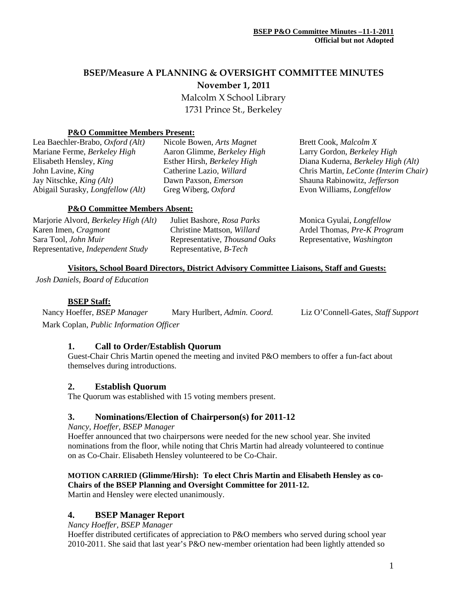# **BSEP/Measure A PLANNING & OVERSIGHT COMMITTEE MINUTES November 1, 2011**

Malcolm X School Library 1731 Prince St., Berkeley

### **P&O Committee Members Present:**

| Lea Baechler-Brabo, Oxford (Alt)         | Nicole Bowen, Arts Magnet   | Brett Cook, Malcolm X                                 |  |  |
|------------------------------------------|-----------------------------|-------------------------------------------------------|--|--|
| Mariane Ferme, Berkeley High             | Aaron Glimme, Berkeley High | Larry Gordon, Berkeley High                           |  |  |
| Elisabeth Hensley, King                  | Esther Hirsh, Berkeley High | Diana Kuderna, Berkeley High (Alt)                    |  |  |
| John Lavine, King                        | Catherine Lazio, Willard    | Chris Martin, <i>LeConte</i> ( <i>Interim Chair</i> ) |  |  |
| Jay Nitschke, <i>King (Alt)</i>          | Dawn Paxson, <i>Emerson</i> | Shauna Rabinowitz, Jefferson                          |  |  |
| Abigail Surasky, <i>Longfellow</i> (Alt) | Greg Wiberg, Oxford         | Evon Williams, <i>Longfellow</i>                      |  |  |
|                                          |                             |                                                       |  |  |
| <b>P&amp;O Committee Members Absent:</b> |                             |                                                       |  |  |

| Marjorie Alvord, Berkeley High (Alt)     | Juliet Bashore, Rosa Parks           | Monica Gyulai, <i>Longfellow</i>  |
|------------------------------------------|--------------------------------------|-----------------------------------|
| Karen Imen, Cragmont                     | Christine Mattson, Willard           | Ardel Thomas, Pre-K Program       |
| Sara Tool, John Muir                     | Representative, <i>Thousand Oaks</i> | Representative, <i>Washington</i> |
| Representative, <i>Independent Study</i> | Representative, <i>B-Tech</i>        |                                   |

### **Visitors, School Board Directors, District Advisory Committee Liaisons, Staff and Guests:**

*Josh Daniels, Board of Education*

#### **BSEP Staff:**

Nancy Hoeffer, *BSEP Manager* Mary Hurlbert, *Admin. Coord.* Liz O'Connell-Gates, *Staff Support* Mark Coplan, *Public Information Officer*

#### **1. Call to Order/Establish Quorum**

Guest-Chair Chris Martin opened the meeting and invited P&O members to offer a fun-fact about themselves during introductions.

#### **2. Establish Quorum**

The Quorum was established with 15 voting members present.

#### **3. Nominations/Election of Chairperson(s) for 2011-12**

*Nancy, Hoeffer, BSEP Manager*

Hoeffer announced that two chairpersons were needed for the new school year. She invited nominations from the floor, while noting that Chris Martin had already volunteered to continue on as Co-Chair. Elisabeth Hensley volunteered to be Co-Chair.

## **MOTION CARRIED (Glimme/Hirsh): To elect Chris Martin and Elisabeth Hensley as co-Chairs of the BSEP Planning and Oversight Committee for 2011-12.**

Martin and Hensley were elected unanimously.

## **4. BSEP Manager Report**

*Nancy Hoeffer, BSEP Manager*

Hoeffer distributed certificates of appreciation to P&O members who served during school year 2010-2011. She said that last year's P&O new-member orientation had been lightly attended so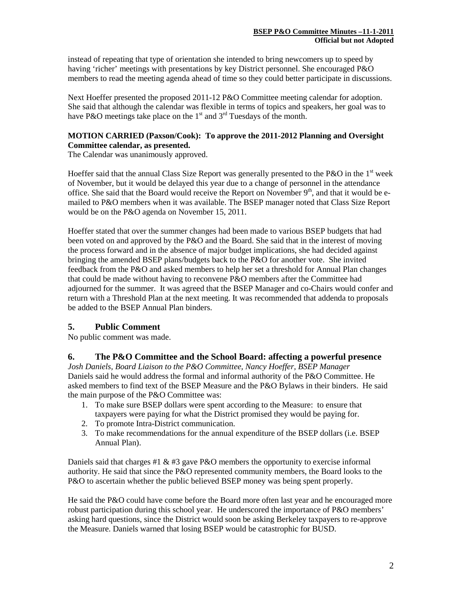instead of repeating that type of orientation she intended to bring newcomers up to speed by having 'richer' meetings with presentations by key District personnel. She encouraged P&O members to read the meeting agenda ahead of time so they could better participate in discussions.

Next Hoeffer presented the proposed 2011-12 P&O Committee meeting calendar for adoption. She said that although the calendar was flexible in terms of topics and speakers, her goal was to have P&O meetings take place on the  $1<sup>st</sup>$  and  $3<sup>rd</sup>$  Tuesdays of the month.

## **MOTION CARRIED (Paxson/Cook): To approve the 2011-2012 Planning and Oversight Committee calendar, as presented.**

The Calendar was unanimously approved.

Hoeffer said that the annual Class Size Report was generally presented to the P&O in the  $1<sup>st</sup>$  week of November, but it would be delayed this year due to a change of personnel in the attendance office. She said that the Board would receive the Report on November  $9<sup>th</sup>$ , and that it would be emailed to P&O members when it was available. The BSEP manager noted that Class Size Report would be on the P&O agenda on November 15, 2011.

Hoeffer stated that over the summer changes had been made to various BSEP budgets that had been voted on and approved by the P&O and the Board. She said that in the interest of moving the process forward and in the absence of major budget implications, she had decided against bringing the amended BSEP plans/budgets back to the P&O for another vote. She invited feedback from the P&O and asked members to help her set a threshold for Annual Plan changes that could be made without having to reconvene P&O members after the Committee had adjourned for the summer. It was agreed that the BSEP Manager and co-Chairs would confer and return with a Threshold Plan at the next meeting. It was recommended that addenda to proposals be added to the BSEP Annual Plan binders.

## **5. Public Comment**

No public comment was made.

## **6. The P&O Committee and the School Board: affecting a powerful presence**

*Josh Daniels, Board Liaison to the P&O Committee, Nancy Hoeffer, BSEP Manager* Daniels said he would address the formal and informal authority of the P&O Committee. He asked members to find text of the BSEP Measure and the P&O Bylaws in their binders. He said the main purpose of the P&O Committee was:

- 1. To make sure BSEP dollars were spent according to the Measure: to ensure that taxpayers were paying for what the District promised they would be paying for.
- 2. To promote Intra-District communication.
- 3. To make recommendations for the annual expenditure of the BSEP dollars (i.e. BSEP Annual Plan).

Daniels said that charges #1  $\&$  #3 gave P $\&$ O members the opportunity to exercise informal authority. He said that since the P&O represented community members, the Board looks to the P&O to ascertain whether the public believed BSEP money was being spent properly.

He said the P&O could have come before the Board more often last year and he encouraged more robust participation during this school year. He underscored the importance of P&O members' asking hard questions, since the District would soon be asking Berkeley taxpayers to re-approve the Measure. Daniels warned that losing BSEP would be catastrophic for BUSD.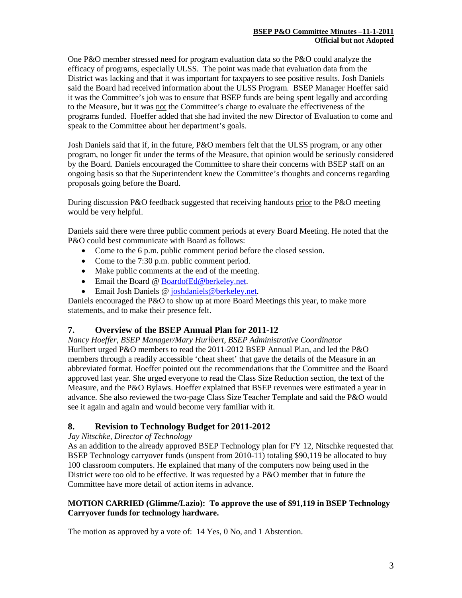One P&O member stressed need for program evaluation data so the P&O could analyze the efficacy of programs, especially ULSS. The point was made that evaluation data from the District was lacking and that it was important for taxpayers to see positive results. Josh Daniels said the Board had received information about the ULSS Program. BSEP Manager Hoeffer said it was the Committee's job was to ensure that BSEP funds are being spent legally and according to the Measure, but it was not the Committee's charge to evaluate the effectiveness of the programs funded. Hoeffer added that she had invited the new Director of Evaluation to come and speak to the Committee about her department's goals.

Josh Daniels said that if, in the future, P&O members felt that the ULSS program, or any other program, no longer fit under the terms of the Measure, that opinion would be seriously considered by the Board. Daniels encouraged the Committee to share their concerns with BSEP staff on an ongoing basis so that the Superintendent knew the Committee's thoughts and concerns regarding proposals going before the Board.

During discussion P&O feedback suggested that receiving handouts prior to the P&O meeting would be very helpful.

Daniels said there were three public comment periods at every Board Meeting. He noted that the P&O could best communicate with Board as follows:

- Come to the 6 p.m. public comment period before the closed session.
- Come to the 7:30 p.m. public comment period.
- Make public comments at the end of the meeting.
- Email the Board [@ BoardofEd@berkeley.net.](mailto:BoardofEd@berkeley.net)
- Email Josh Daniels @ joshdaniels @berkeley.net.

Daniels encouraged the P&O to show up at more Board Meetings this year, to make more statements, and to make their presence felt.

## **7. Overview of the BSEP Annual Plan for 2011-12**

*Nancy Hoeffer, BSEP Manager/Mary Hurlbert, BSEP Administrative Coordinator* Hurlbert urged P&O members to read the 2011-2012 BSEP Annual Plan, and led the P&O members through a readily accessible 'cheat sheet' that gave the details of the Measure in an abbreviated format. Hoeffer pointed out the recommendations that the Committee and the Board approved last year. She urged everyone to read the Class Size Reduction section, the text of the Measure, and the P&O Bylaws. Hoeffer explained that BSEP revenues were estimated a year in advance. She also reviewed the two-page Class Size Teacher Template and said the P&O would see it again and again and would become very familiar with it.

## **8. Revision to Technology Budget for 2011-2012**

#### *Jay Nitschke, Director of Technology*

As an addition to the already approved BSEP Technology plan for FY 12, Nitschke requested that BSEP Technology carryover funds (unspent from 2010-11) totaling \$90,119 be allocated to buy 100 classroom computers. He explained that many of the computers now being used in the District were too old to be effective. It was requested by a P&O member that in future the Committee have more detail of action items in advance.

### **MOTION CARRIED (Glimme/Lazio): To approve the use of \$91,119 in BSEP Technology Carryover funds for technology hardware.**

The motion as approved by a vote of: 14 Yes, 0 No, and 1 Abstention.